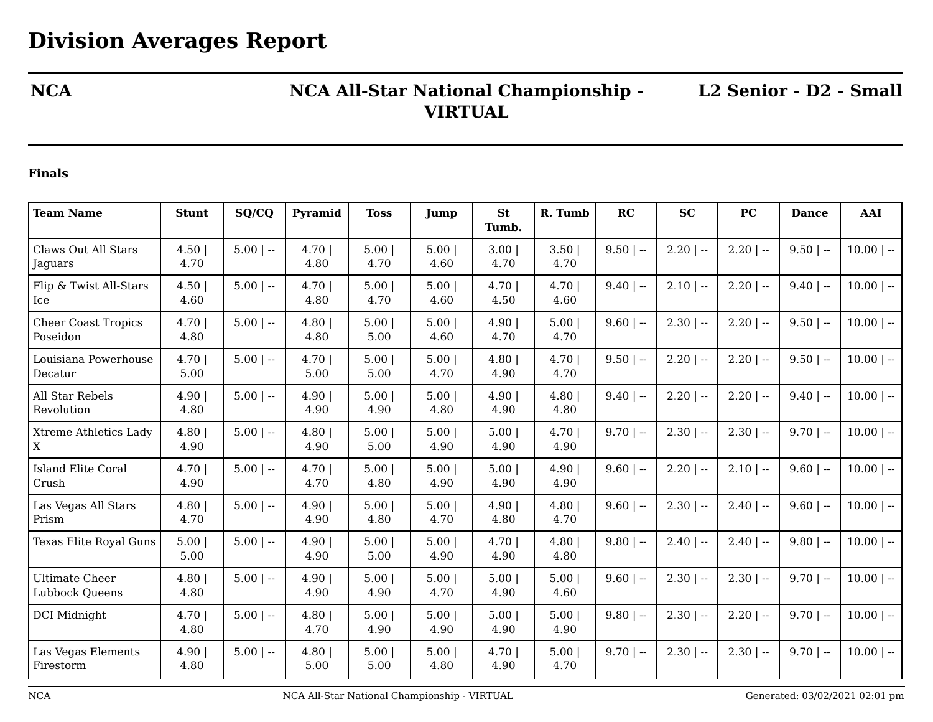## **NCA NCA All-Star National Championship - VIRTUAL**

**L2 Senior - D2 - Small**

## **Finals**

| <b>Team Name</b>                            | <b>Stunt</b>   | SQ/CQ       | Pyramid          | <b>Toss</b>  | Jump         | <b>St</b><br>Tumb. | R. Tumb      | RC           | <b>SC</b>    | PC           | <b>Dance</b> | AAI          |
|---------------------------------------------|----------------|-------------|------------------|--------------|--------------|--------------------|--------------|--------------|--------------|--------------|--------------|--------------|
| Claws Out All Stars<br>Jaguars              | 4.50 <br>4.70  | $5.00$   -- | $4.70$  <br>4.80 | 5.00<br>4.70 | 5.00<br>4.60 | 3.00<br>4.70       | 3.50<br>4.70 | $9.50$   --  | $2.20$   $-$ | $2.20$   $-$ | $9.50$   --  | $10.00$   -- |
| Flip & Twist All-Stars<br>Ice               | 4.50<br>4.60   | $5.00$   -- | 4.70 <br>4.80    | 5.00<br>4.70 | 5.00<br>4.60 | 4.70<br>4.50       | 4.70<br>4.60 | $9.40$   --  | $2.10$   --  | $2.20$   $-$ | $9.40$   --  | $10.00$   -- |
| <b>Cheer Coast Tropics</b><br>Poseidon      | 4.70  <br>4.80 | $5.00$   -- | 4.80<br>4.80     | 5.00<br>5.00 | 5.00<br>4.60 | 4.90<br>4.70       | 5.00<br>4.70 | $9.60$   --  | $2.30$   $-$ | $2.20$   $-$ | $9.50$   --  | $10.00$   -- |
| Louisiana Powerhouse<br>Decatur             | 4.70<br>5.00   | $5.00$   -- | 4.70 <br>5.00    | 5.00<br>5.00 | 5.00<br>4.70 | 4.80<br>4.90       | 4.70<br>4.70 | $9.50$   --  | $2.20$   $-$ | $2.20$   --  | $9.50$   --  | $10.00$   -- |
| All Star Rebels<br>Revolution               | 4.90<br>4.80   | $5.00$   -- | 4.90 <br>4.90    | 5.00<br>4.90 | 5.00<br>4.80 | 4.90<br>4.90       | 4.80<br>4.80 | $9.40$   $-$ | $2.20$   $-$ | $2.20$   --  | $9.40$   --  | $10.00$   -- |
| <b>Xtreme Athletics Lady</b><br>$\mathbf X$ | 4.80<br>4.90   | $5.00$   -- | 4.80<br>4.90     | 5.00<br>5.00 | 5.00<br>4.90 | 5.00<br>4.90       | 4.70<br>4.90 | $9.70$   --  | $2.30$   --  | $2.30$   $-$ | $9.70$   --  | $10.00$   -- |
| <b>Island Elite Coral</b><br>Crush          | 4.70<br>4.90   | $5.00$   -- | 4.70 <br>4.70    | 5.00<br>4.80 | 5.00<br>4.90 | 5.00<br>4.90       | 4.90<br>4.90 | $9.60$   --  | $2.20$   --  | $2.10$   --  | $9.60$   --  | $10.00$   -- |
| Las Vegas All Stars<br>Prism                | 4.80<br>4.70   | $5.00$   -- | 4.90 <br>4.90    | 5.00<br>4.80 | 5.00<br>4.70 | 4.90<br>4.80       | 4.80<br>4.70 | $9.60$   --  | $2.30$   --  | $2.40$   --  | $9.60$   --  | $10.00$   -- |
| Texas Elite Royal Guns                      | 5.00<br>5.00   | $5.00$   -- | 4.90 <br>4.90    | 5.00<br>5.00 | 5.00<br>4.90 | 4.70<br>4.90       | 4.80<br>4.80 | $9.80$   --  | $2.40$   --  | $2.40$   --  | $9.80$   --  | $10.00$   -- |
| <b>Ultimate Cheer</b><br>Lubbock Queens     | 4.80<br>4.80   | $5.00$   -- | 4.90 <br>4.90    | 5.00<br>4.90 | 5.00<br>4.70 | 5.00<br>4.90       | 5.00<br>4.60 | $9.60$   --  | $2.30$   --  | $2.30$   --  | $9.70$   --  | $10.00$   -- |
| DCI Midnight                                | 4.70 <br>4.80  | $5.00$   -- | 4.80<br>4.70     | 5.00<br>4.90 | 5.00<br>4.90 | 5.00<br>4.90       | 5.00<br>4.90 | $9.80$   --  | $2.30$   --  | $2.20$   --  | $9.70$   --  | $10.00$   -- |
| Las Vegas Elements<br>Firestorm             | 4.90 <br>4.80  | $5.00$   -- | 4.80<br>5.00     | 5.00<br>5.00 | 5.00<br>4.80 | 4.70<br>4.90       | 5.00<br>4.70 | $9.70$   --  | $2.30$   --  | $2.30$   $-$ | $9.70$   --  | $10.00$   -- |